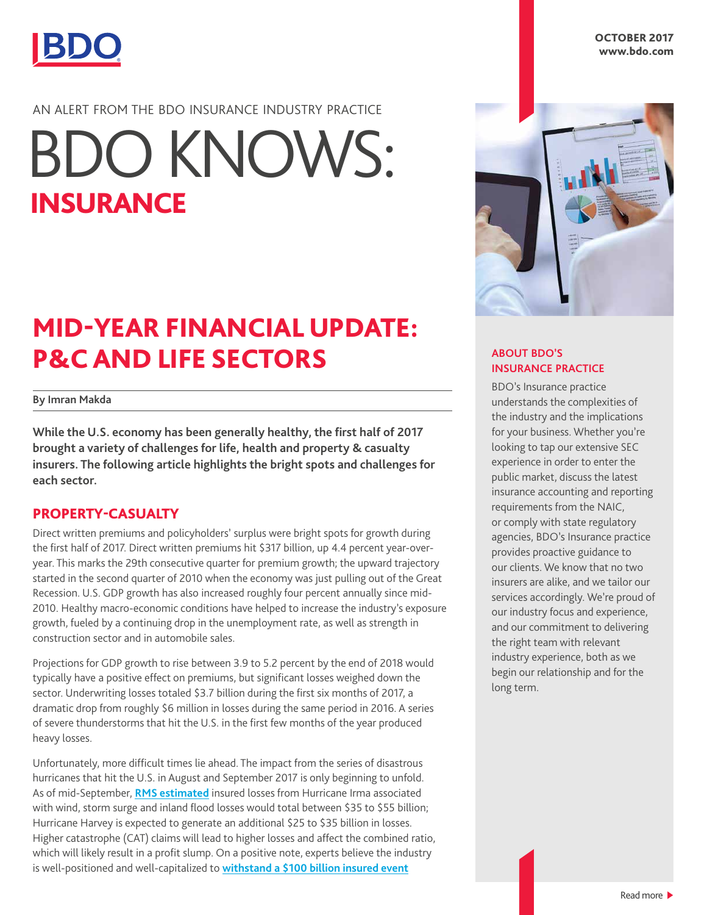

#### AN ALERT FROM THE BDO INSURANCE INDUSTRY PRACTICE

# INSURANCE BDO KNOWS:

### MID-YEAR FINANCIAL UPDATE: P&C AND LIFE SECTORS

#### **By Imran Makda**

**While the U.S. economy has been generally healthy, the first half of 2017 brought a variety of challenges for life, health and property & casualty insurers. The following article highlights the bright spots and challenges for each sector.** 

#### PROPERTY-CASUALTY

Direct written premiums and policyholders' surplus were bright spots for growth during the first half of 2017. Direct written premiums hit \$317 billion, up 4.4 percent year-overyear. This marks the 29th consecutive quarter for premium growth; the upward trajectory started in the second quarter of 2010 when the economy was just pulling out of the Great Recession. U.S. GDP growth has also increased roughly four percent annually since mid-2010. Healthy macro-economic conditions have helped to increase the industry's exposure growth, fueled by a continuing drop in the unemployment rate, as well as strength in construction sector and in automobile sales.

Projections for GDP growth to rise between 3.9 to 5.2 percent by the end of 2018 would typically have a positive effect on premiums, but significant losses weighed down the sector. Underwriting losses totaled \$3.7 billion during the first six months of 2017, a dramatic drop from roughly \$6 million in losses during the same period in 2016. A series of severe thunderstorms that hit the U.S. in the first few months of the year produced heavy losses.

Unfortunately, more difficult times lie ahead. The impact from the series of disastrous hurricanes that hit the U.S. in August and September 2017 is only beginning to unfold. As of mid-September, **[RMS estimated](http://www.rms.com/newsroom/press-releases/press-detail/2017-09-09/rms-estimates-hurricane-harvey-insured-losses-from-wind-storm-surge-and-inland-flood-damage-will-be-between-usd-25-and-35-billion)** insured losses from Hurricane Irma associated with wind, storm surge and inland flood losses would total between \$35 to \$55 billion; Hurricane Harvey is expected to generate an additional \$25 to \$35 billion in losses. Higher catastrophe (CAT) claims will lead to higher losses and affect the combined ratio, which will likely result in a profit slump. On a positive note, experts believe the industry is well-positioned and well-capitalized to **[withstand a \\$100 billion insured event](http://www.reuters.com/article/zurich-insurance-group-catastrophe-bonds/interview-insurers-can-withstand-100-bln-natural-catastrophe-zurich-idUSL6N0QK4TW20140815)**



#### **ABOUT BDO'S INSURANCE PRACTICE**

BDO's Insurance practice understands the complexities of the industry and the implications for your business. Whether you're looking to tap our extensive SEC experience in order to enter the public market, discuss the latest insurance accounting and reporting requirements from the NAIC, or comply with state regulatory agencies, BDO's Insurance practice provides proactive guidance to our clients. We know that no two insurers are alike, and we tailor our services accordingly. We're proud of our industry focus and experience, and our commitment to delivering the right team with relevant industry experience, both as we begin our relationship and for the long term.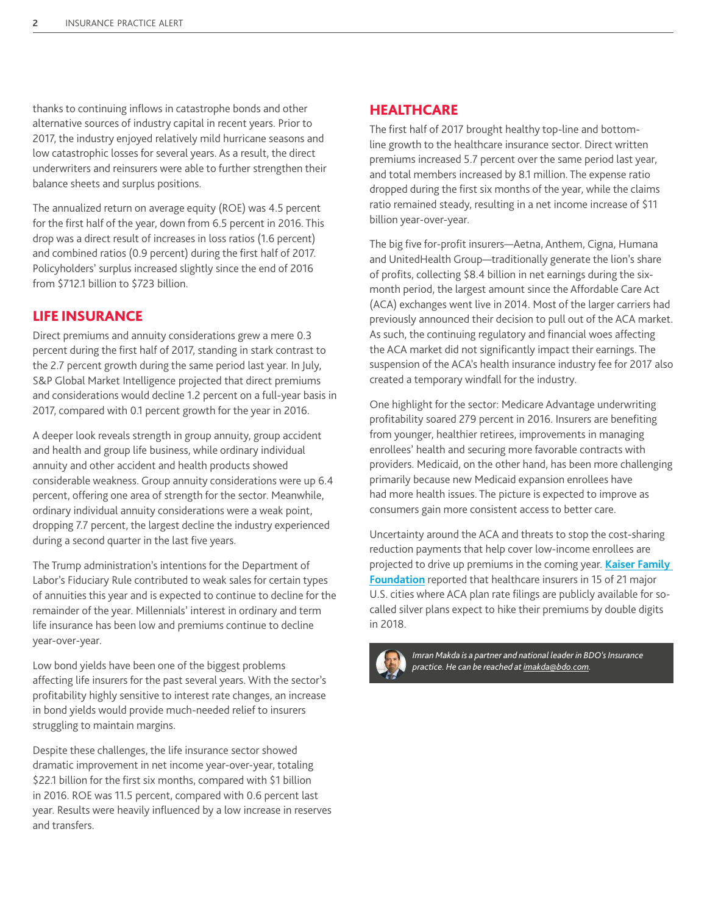thanks to continuing inflows in catastrophe bonds and other alternative sources of industry capital in recent years. Prior to 2017, the industry enjoyed relatively mild hurricane seasons and low catastrophic losses for several years. As a result, the direct underwriters and reinsurers were able to further strengthen their balance sheets and surplus positions.

The annualized return on average equity (ROE) was 4.5 percent for the first half of the year, down from 6.5 percent in 2016. This drop was a direct result of increases in loss ratios (1.6 percent) and combined ratios (0.9 percent) during the first half of 2017. Policyholders' surplus increased slightly since the end of 2016 from \$712.1 billion to \$723 billion.

#### LIFE INSURANCE

Direct premiums and annuity considerations grew a mere 0.3 percent during the first half of 2017, standing in stark contrast to the 2.7 percent growth during the same period last year. In July, S&P Global Market Intelligence projected that direct premiums and considerations would decline 1.2 percent on a full-year basis in 2017, compared with 0.1 percent growth for the year in 2016.

A deeper look reveals strength in group annuity, group accident and health and group life business, while ordinary individual annuity and other accident and health products showed considerable weakness. Group annuity considerations were up 6.4 percent, offering one area of strength for the sector. Meanwhile, ordinary individual annuity considerations were a weak point, dropping 7.7 percent, the largest decline the industry experienced during a second quarter in the last five years.

The Trump administration's intentions for the Department of Labor's Fiduciary Rule contributed to weak sales for certain types of annuities this year and is expected to continue to decline for the remainder of the year. Millennials' interest in ordinary and term life insurance has been low and premiums continue to decline year-over-year.

Low bond yields have been one of the biggest problems affecting life insurers for the past several years. With the sector's profitability highly sensitive to interest rate changes, an increase in bond yields would provide much-needed relief to insurers struggling to maintain margins.

Despite these challenges, the life insurance sector showed dramatic improvement in net income year-over-year, totaling \$22.1 billion for the first six months, compared with \$1 billion in 2016. ROE was 11.5 percent, compared with 0.6 percent last year. Results were heavily influenced by a low increase in reserves and transfers.

#### **HEALTHCARE**

The first half of 2017 brought healthy top-line and bottomline growth to the healthcare insurance sector. Direct written premiums increased 5.7 percent over the same period last year, and total members increased by 8.1 million. The expense ratio dropped during the first six months of the year, while the claims ratio remained steady, resulting in a net income increase of \$11 billion year-over-year.

The big five for-profit insurers—Aetna, Anthem, Cigna, Humana and UnitedHealth Group—traditionally generate the lion's share of profits, collecting \$8.4 billion in net earnings during the sixmonth period, the largest amount since the Affordable Care Act (ACA) exchanges went live in 2014. Most of the larger carriers had previously announced their decision to pull out of the ACA market. As such, the continuing regulatory and financial woes affecting the ACA market did not significantly impact their earnings. The suspension of the ACA's health insurance industry fee for 2017 also created a temporary windfall for the industry.

One highlight for the sector: Medicare Advantage underwriting profitability soared 279 percent in 2016. Insurers are benefiting from younger, healthier retirees, improvements in managing enrollees' health and securing more favorable contracts with providers. Medicaid, on the other hand, has been more challenging primarily because new Medicaid expansion enrollees have had more health issues. The picture is expected to improve as consumers gain more consistent access to better care.

Uncertainty around the ACA and threats to stop the cost-sharing reduction payments that help cover low-income enrollees are projected to drive up premiums in the coming year. **[Kaiser Family](http://www.kff.org/health-reform/issue-brief/an-early-look-at-2018-premium-changes-and-insurer-participation-on-aca-exchanges/)  [Foundation](http://www.kff.org/health-reform/issue-brief/an-early-look-at-2018-premium-changes-and-insurer-participation-on-aca-exchanges/)** reported that healthcare insurers in 15 of 21 major U.S. cities where ACA plan rate filings are publicly available for socalled silver plans expect to hike their premiums by double digits in 2018.



*Imran Makda is a partner and national leader in BDO's Insurance practice. He can be reached at [imakda@bdo.com](mailto:?subject=).*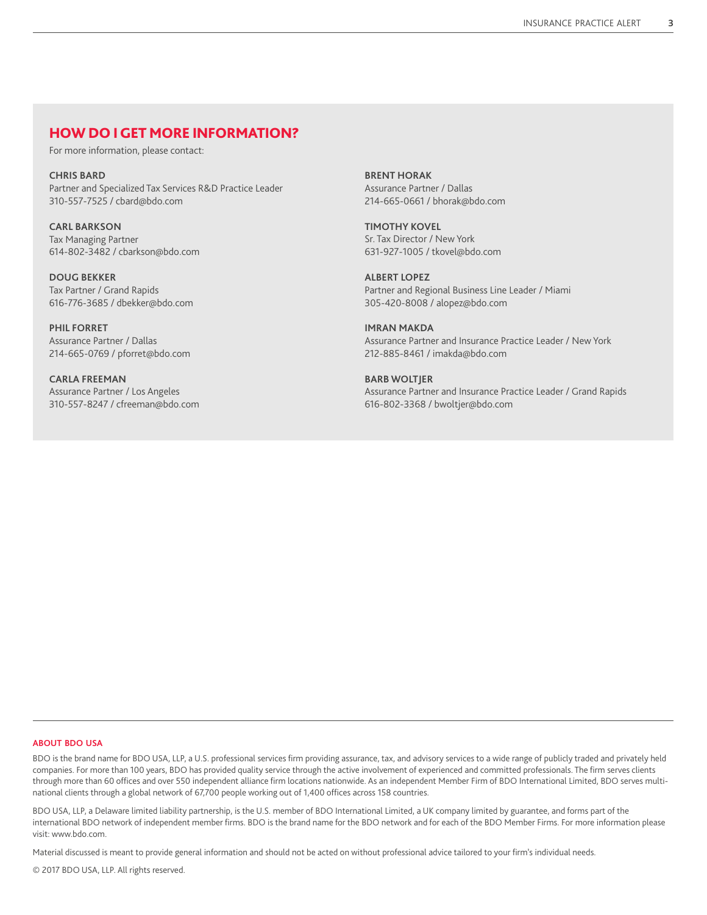### HOW DO I GET MORE INFORMATION?

For more information, please contact:

**CHRIS BARD** Partner and Specialized Tax Services R&D Practice Leader 310-557-7525 / cbard@bdo.com

**CARL BARKSON** Tax Managing Partner 614-802-3482 / cbarkson@bdo.com

**DOUG BEKKER** Tax Partner / Grand Rapids 616-776-3685 / dbekker@bdo.com

**PHIL FORRET** Assurance Partner / Dallas 214-665-0769 / pforret@bdo.com

**CARLA FREEMAN** Assurance Partner / Los Angeles 310-557-8247 / cfreeman@bdo.com **BRENT HORAK** Assurance Partner / Dallas 214-665-0661 / bhorak@bdo.com

**TIMOTHY KOVEL** Sr. Tax Director / New York 631-927-1005 / tkovel@bdo.com

**ALBERT LOPEZ** Partner and Regional Business Line Leader / Miami 305-420-8008 / alopez@bdo.com

**IMRAN MAKDA** Assurance Partner and Insurance Practice Leader / New York 212-885-8461 / imakda@bdo.com

**BARB WOLTJER** Assurance Partner and Insurance Practice Leader / Grand Rapids 616-802-3368 / bwoltjer@bdo.com

#### **ABOUT BDO USA**

BDO is the brand name for BDO USA, LLP, a U.S. professional services firm providing assurance, tax, and advisory services to a wide range of publicly traded and privately held companies. For more than 100 years, BDO has provided quality service through the active involvement of experienced and committed professionals. The firm serves clients through more than 60 offices and over 550 independent alliance firm locations nationwide. As an independent Member Firm of BDO International Limited, BDO serves multinational clients through a global network of 67,700 people working out of 1,400 offices across 158 countries.

BDO USA, LLP, a Delaware limited liability partnership, is the U.S. member of BDO International Limited, a UK company limited by guarantee, and forms part of the international BDO network of independent member firms. BDO is the brand name for the BDO network and for each of the BDO Member Firms. For more information please visit: www.bdo.com.

Material discussed is meant to provide general information and should not be acted on without professional advice tailored to your firm's individual needs.

© 2017 BDO USA, LLP. All rights reserved.